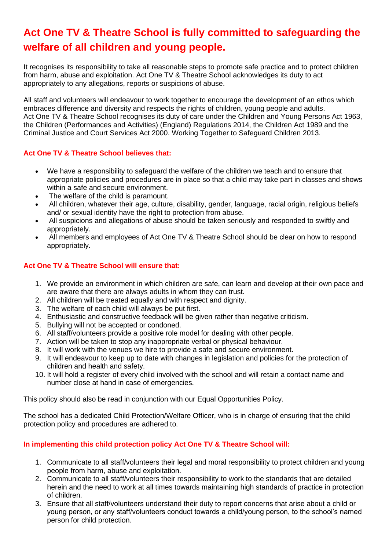## **Act One TV & Theatre School is fully committed to safeguarding the welfare of all children and young people.**

It recognises its responsibility to take all reasonable steps to promote safe practice and to protect children from harm, abuse and exploitation. Act One TV & Theatre School acknowledges its duty to act appropriately to any allegations, reports or suspicions of abuse.

All staff and volunteers will endeavour to work together to encourage the development of an ethos which embraces difference and diversity and respects the rights of children, young people and adults. Act One TV & Theatre School recognises its duty of care under the Children and Young Persons Act 1963, the Children (Performances and Activities) (England) Regulations 2014, the Children Act 1989 and the Criminal Justice and Court Services Act 2000. Working Together to Safeguard Children 2013.

## **Act One TV & Theatre School believes that:**

- We have a responsibility to safeguard the welfare of the children we teach and to ensure that appropriate policies and procedures are in place so that a child may take part in classes and shows within a safe and secure environment.
- The welfare of the child is paramount.
- All children, whatever their age, culture, disability, gender, language, racial origin, religious beliefs and/ or sexual identity have the right to protection from abuse.
- All suspicions and allegations of abuse should be taken seriously and responded to swiftly and appropriately.
- All members and employees of Act One TV & Theatre School should be clear on how to respond appropriately.

## **Act One TV & Theatre School will ensure that:**

- 1. We provide an environment in which children are safe, can learn and develop at their own pace and are aware that there are always adults in whom they can trust.
- 2. All children will be treated equally and with respect and dignity.
- 3. The welfare of each child will always be put first.
- 4. Enthusiastic and constructive feedback will be given rather than negative criticism.
- 5. Bullying will not be accepted or condoned.
- 6. All staff/volunteers provide a positive role model for dealing with other people.
- 7. Action will be taken to stop any inappropriate verbal or physical behaviour.
- 8. It will work with the venues we hire to provide a safe and secure environment.
- 9. It will endeavour to keep up to date with changes in legislation and policies for the protection of children and health and safety.
- 10. It will hold a register of every child involved with the school and will retain a contact name and number close at hand in case of emergencies.

This policy should also be read in conjunction with our Equal [Opportunities](https://demericdance.co.uk/equal-opportunities-policy/) Policy.

The school has a dedicated Child Protection/Welfare Officer, who is in charge of ensuring that the child protection policy and procedures are adhered to.

## **In implementing this child protection policy Act One TV & Theatre School will:**

- 1. Communicate to all staff/volunteers their legal and moral responsibility to protect children and young people from harm, abuse and exploitation.
- 2. Communicate to all staff/volunteers their responsibility to work to the standards that are detailed herein and the need to work at all times towards maintaining high standards of practice in protection of children.
- 3. Ensure that all staff/volunteers understand their duty to report concerns that arise about a child or young person, or any staff/volunteers conduct towards a child/young person, to the school's named person for child protection.